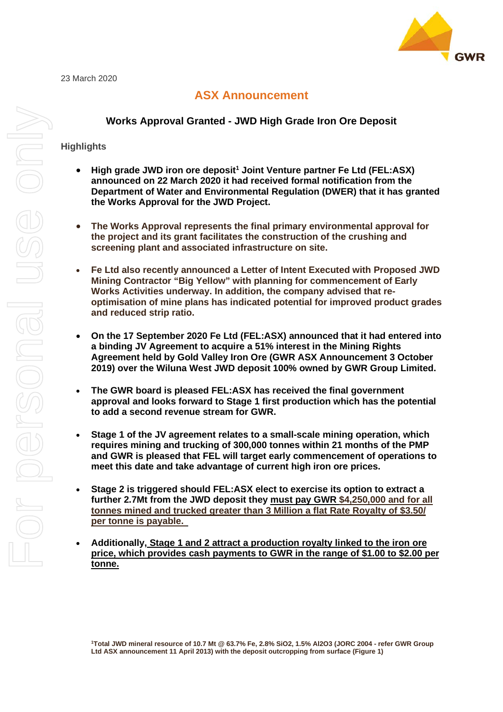

# **ASX Announcement**

## **Works Approval Granted - JWD High Grade Iron Ore Deposit**

### **Highlights**

- **High grade JWD iron ore deposit<sup>1</sup> Joint Venture partner Fe Ltd (FEL:ASX) announced on 22 March 2020 it had received formal notification from the Department of Water and Environmental Regulation (DWER) that it has granted the Works Approval for the JWD Project.**
- **The Works Approval represents the final primary environmental approval for the project and its grant facilitates the construction of the crushing and screening plant and associated infrastructure on site.**
- **Fe Ltd also recently announced a Letter of Intent Executed with Proposed JWD Mining Contractor "Big Yellow" with planning for commencement of Early Works Activities underway. In addition, the company advised that reoptimisation of mine plans has indicated potential for improved product grades and reduced strip ratio.**
- **On the 17 September 2020 Fe Ltd (FEL:ASX) announced that it had entered into a binding JV Agreement to acquire a 51% interest in the Mining Rights Agreement held by Gold Valley Iron Ore (GWR ASX Announcement 3 October 2019) over the Wiluna West JWD deposit 100% owned by GWR Group Limited.**
- **The GWR board is pleased FEL:ASX has received the final government approval and looks forward to Stage 1 first production which has the potential to add a second revenue stream for GWR.**
- **Stage 1 of the JV agreement relates to a small-scale mining operation, which requires mining and trucking of 300,000 tonnes within 21 months of the PMP and GWR is pleased that FEL will target early commencement of operations to meet this date and take advantage of current high iron ore prices.**
- **Stage 2 is triggered should FEL:ASX elect to exercise its option to extract a further 2.7Mt from the JWD deposit they must pay GWR \$4,250,000 and for all tonnes mined and trucked greater than 3 Million a flat Rate Royalty of \$3.50/ per tonne is payable.**
- **Additionally, Stage 1 and 2 attract a production royalty linked to the iron ore price, which provides cash payments to GWR in the range of \$1.00 to \$2.00 per tonne.**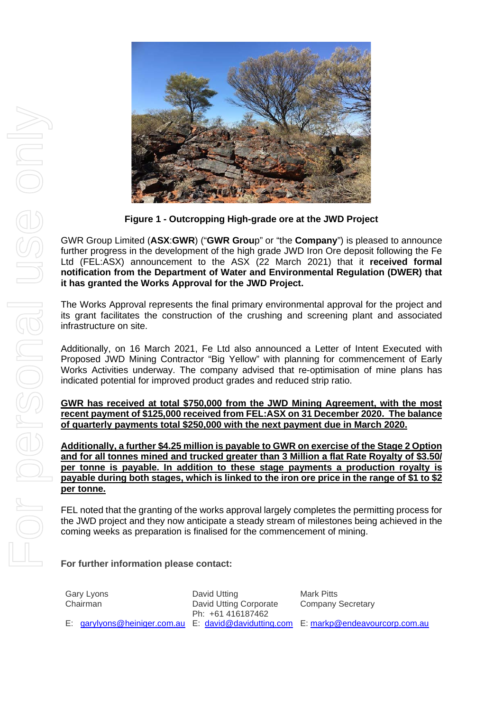

**Figure 1 - Outcropping High-grade ore at the JWD Project**

GWR Group Limited (**ASX**:**GWR**) ("**GWR Grou**p" or "the **Company**") is pleased to announce further progress in the development of the high grade JWD Iron Ore deposit following the Fe Ltd (FEL:ASX) announcement to the ASX (22 March 2021) that it **received formal notification from the Department of Water and Environmental Regulation (DWER) that it has granted the Works Approval for the JWD Project.**

The Works Approval represents the final primary environmental approval for the project and its grant facilitates the construction of the crushing and screening plant and associated infrastructure on site.

Additionally, on 16 March 2021, Fe Ltd also announced a Letter of Intent Executed with Proposed JWD Mining Contractor "Big Yellow" with planning for commencement of Early Works Activities underway. The company advised that re-optimisation of mine plans has indicated potential for improved product grades and reduced strip ratio.

**GWR has received at total \$750,000 from the JWD Mining Agreement, with the most recent payment of \$125,000 received from FEL:ASX on 31 December 2020. The balance of quarterly payments total \$250,000 with the next payment due in March 2020.**

**Additionally, a further \$4.25 million is payable to GWR on exercise of the Stage 2 Option and for all tonnes mined and trucked greater than 3 Million a flat Rate Royalty of \$3.50/ per tonne is payable. In addition to these stage payments a production royalty is payable during both stages, which is linked to the iron ore price in the range of \$1 to \$2 per tonne.**

FEL noted that the granting of the works approval largely completes the permitting process for the JWD project and they now anticipate a steady stream of milestones being achieved in the coming weeks as preparation is finalised for the commencement of mining.

# **For further information please contact:**

| Gary Lyons<br>Chairman | David Utting<br>David Utting Corporate<br>Ph: +61 416187462 | Mark Pitts<br><b>Company Secretary</b>                                              |
|------------------------|-------------------------------------------------------------|-------------------------------------------------------------------------------------|
|                        |                                                             | E: garylyons@heiniger.com.au E: david@davidutting.com E: markp@endeavourcorp.com.au |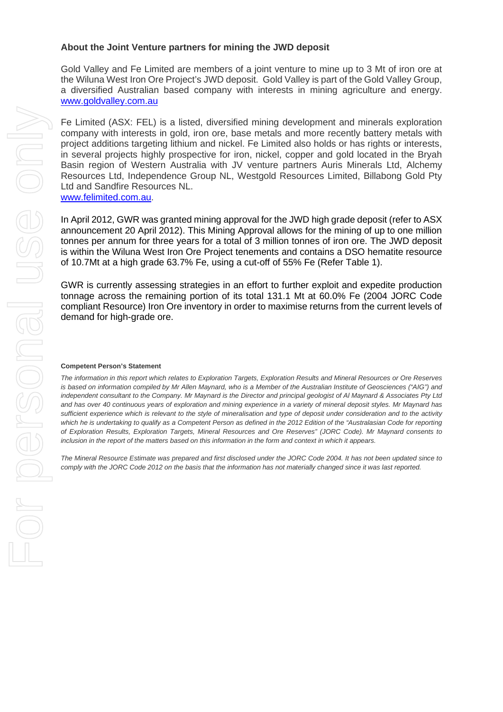#### **About the Joint Venture partners for mining the JWD deposit**

Gold Valley and Fe Limited are members of a joint venture to mine up to 3 Mt of iron ore at the Wiluna West Iron Ore Project's JWD deposit. Gold Valley is part of the Gold Valley Group, a diversified Australian based company with interests in mining agriculture and energy. [www.goldvalley.com.au](http://www.goldvalley.com.au/)

Fe Limited (ASX: FEL) is a listed, diversified mining development and minerals exploration company with interests in gold, iron ore, base metals and more recently battery metals with project additions targeting lithium and nickel. Fe Limited also holds or has rights or interests, in several projects highly prospective for iron, nickel, copper and gold located in the Bryah Basin region of Western Australia with JV venture partners Auris Minerals Ltd, Alchemy Resources Ltd, Independence Group NL, Westgold Resources Limited, Billabong Gold Pty Ltd and Sandfire Resources NL. [www.felimited.com.au.](http://www.felimited.com.au/)

In April 2012, GWR was granted mining approval for the JWD high grade deposit (refer to ASX announcement 20 April 2012). This Mining Approval allows for the mining of up to one million tonnes per annum for three years for a total of 3 million tonnes of iron ore. The JWD deposit is within the Wiluna West Iron Ore Project tenements and contains a DSO hematite resource of 10.7Mt at a high grade 63.7% Fe, using a cut-off of 55% Fe (Refer Table 1).

GWR is currently assessing strategies in an effort to further exploit and expedite production tonnage across the remaining portion of its total 131.1 Mt at 60.0% Fe (2004 JORC Code compliant Resource) Iron Ore inventory in order to maximise returns from the current levels of demand for high-grade ore.

#### **Competent Person's Statement**

*The information in this report which relates to Exploration Targets, Exploration Results and Mineral Resources or Ore Reserves is based on information compiled by Mr Allen Maynard, who is a Member of the Australian Institute of Geosciences ("AIG") and independent consultant to the Company. Mr Maynard is the Director and principal geologist of Al Maynard & Associates Pty Ltd and has over 40 continuous years of exploration and mining experience in a variety of mineral deposit styles. Mr Maynard has sufficient experience which is relevant to the style of mineralisation and type of deposit under consideration and to the activity which he is undertaking to qualify as a Competent Person as defined in the 2012 Edition of the "Australasian Code for reporting of Exploration Results, Exploration Targets, Mineral Resources and Ore Reserves" (JORC Code). Mr Maynard consents to inclusion in the report of the matters based on this information in the form and context in which it appears.* 

*The Mineral Resource Estimate was prepared and first disclosed under the JORC Code 2004. It has not been updated since to comply with the JORC Code 2012 on the basis that the information has not materially changed since it was last reported.*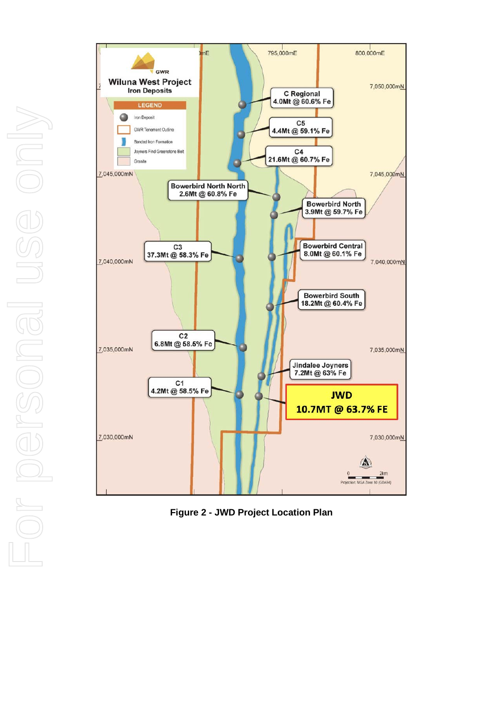

**Figure 2 - JWD Project Location Plan**